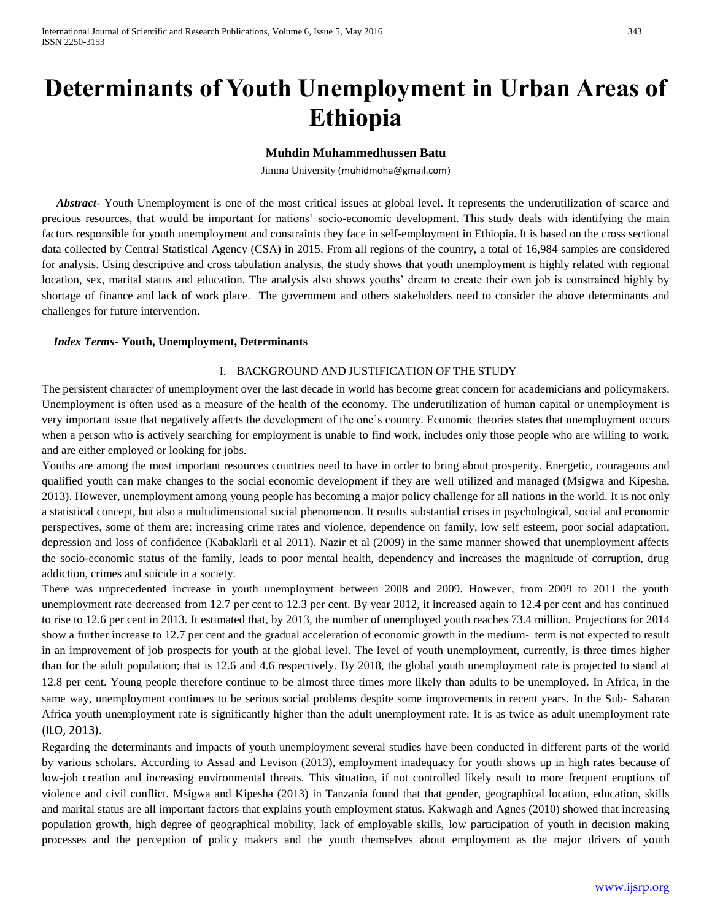# **Determinants of Youth Unemployment in Urban Areas of Ethiopia**

# **Muhdin Muhammedhussen Batu**

Jimma University ([muhidmoha@gmail.com](mailto:muhidmoha@gmail.com))

 *Abstract*- Youth Unemployment is one of the most critical issues at global level. It represents the underutilization of scarce and precious resources, that would be important for nations' socio-economic development. This study deals with identifying the main factors responsible for youth unemployment and constraints they face in self-employment in Ethiopia. It is based on the cross sectional data collected by Central Statistical Agency (CSA) in 2015. From all regions of the country, a total of 16,984 samples are considered for analysis. Using descriptive and cross tabulation analysis, the study shows that youth unemployment is highly related with regional location, sex, marital status and education. The analysis also shows youths' dream to create their own job is constrained highly by shortage of finance and lack of work place. The government and others stakeholders need to consider the above determinants and challenges for future intervention.

## *Index Terms***- Youth, Unemployment, Determinants**

# I. BACKGROUND AND JUSTIFICATION OF THE STUDY

The persistent character of unemployment over the last decade in world has become great concern for academicians and policymakers. Unemployment is often used as a measure of the health of the economy. The underutilization of human capital or unemployment is very important issue that negatively affects the development of the one's country. Economic theories states that unemployment occurs when a person who is actively searching for employment is unable to find work, includes only those people who are willing to work, and are either employed or looking for jobs.

Youths are among the most important resources countries need to have in order to bring about prosperity. Energetic, courageous and qualified youth can make changes to the social economic development if they are well utilized and managed (Msigwa and Kipesha, 2013). However, unemployment among young people has becoming a major policy challenge for all nations in the world. It is not only a statistical concept, but also a multidimensional social phenomenon. It results substantial crises in psychological, social and economic perspectives, some of them are: increasing crime rates and violence, dependence on family, low self esteem, poor social adaptation, depression and loss of confidence (Kabaklarli et al 2011). Nazir et al (2009) in the same manner showed that unemployment affects the socio-economic status of the family, leads to poor mental health, dependency and increases the magnitude of corruption, drug addiction, crimes and suicide in a society.

There was unprecedented increase in youth unemployment between 2008 and 2009. However, from 2009 to 2011 the youth unemployment rate decreased from 12.7 per cent to 12.3 per cent. By year 2012, it increased again to 12.4 per cent and has continued to rise to 12.6 per cent in 2013. It estimated that, by 2013, the number of unemployed youth reaches 73.4 million. Projections for 2014 show a further increase to 12.7 per cent and the gradual acceleration of economic growth in the medium‐ term is not expected to result in an improvement of job prospects for youth at the global level. The level of youth unemployment, currently, is three times higher than for the adult population; that is 12.6 and 4.6 respectively. By 2018, the global youth unemployment rate is projected to stand at 12.8 per cent. Young people therefore continue to be almost three times more likely than adults to be unemployed. In Africa, in the same way, unemployment continues to be serious social problems despite some improvements in recent years. In the Sub-Saharan Africa youth unemployment rate is significantly higher than the adult unemployment rate. It is as twice as adult unemployment rate (ILO, 2013).

Regarding the determinants and impacts of youth unemployment several studies have been conducted in different parts of the world by various scholars. According to Assad and Levison (2013), employment inadequacy for youth shows up in high rates because of low-job creation and increasing environmental threats. This situation, if not controlled likely result to more frequent eruptions of violence and civil conflict. Msigwa and Kipesha (2013) in Tanzania found that that gender, geographical location, education, skills and marital status are all important factors that explains youth employment status. Kakwagh and Agnes (2010) showed that increasing population growth, high degree of geographical mobility, lack of employable skills, low participation of youth in decision making processes and the perception of policy makers and the youth themselves about employment as the major drivers of youth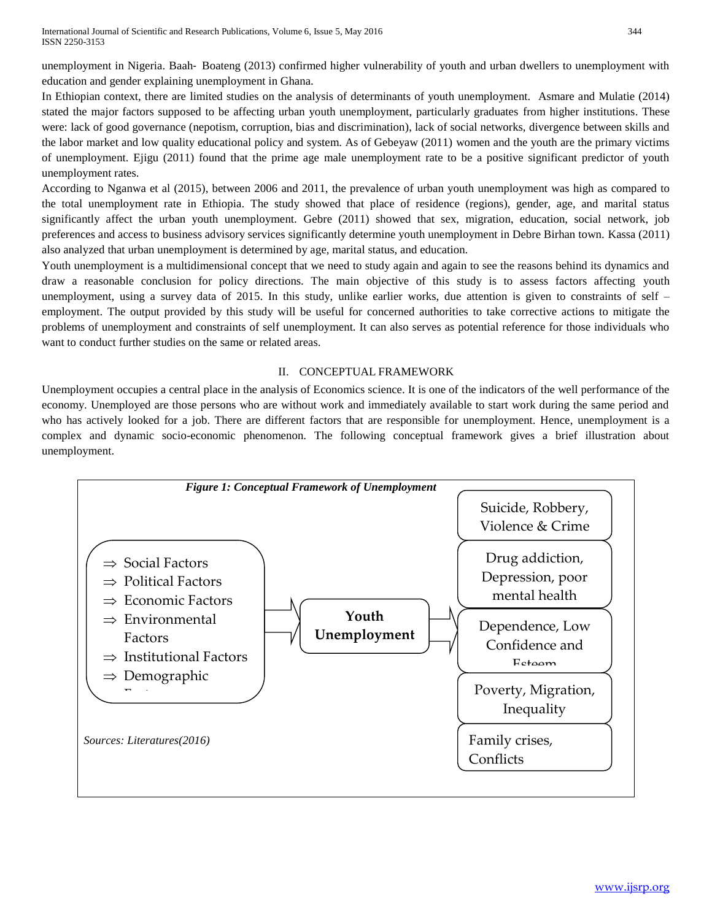unemployment in Nigeria. Baah–Boateng (2013) confirmed higher vulnerability of youth and urban dwellers to unemployment with education and gender explaining unemployment in Ghana.

In Ethiopian context, there are limited studies on the analysis of determinants of youth unemployment. Asmare and Mulatie (2014) stated the major factors supposed to be affecting urban youth unemployment, particularly graduates from higher institutions. These were: lack of good governance (nepotism, corruption, bias and discrimination), lack of social networks, divergence between skills and the labor market and low quality educational policy and system. As of Gebeyaw (2011) women and the youth are the primary victims of unemployment. Ejigu (2011) found that the prime age male unemployment rate to be a positive significant predictor of youth unemployment rates.

According to Nganwa et al (2015), between 2006 and 2011, the prevalence of urban youth unemployment was high as compared to the total unemployment rate in Ethiopia. The study showed that place of residence (regions), gender, age, and marital status significantly affect the urban youth unemployment. Gebre (2011) showed that sex, migration, education, social network, job preferences and access to business advisory services significantly determine youth unemployment in Debre Birhan town. Kassa (2011) also analyzed that urban unemployment is determined by age, marital status, and education.

Youth unemployment is a multidimensional concept that we need to study again and again to see the reasons behind its dynamics and draw a reasonable conclusion for policy directions. The main objective of this study is to assess factors affecting youth unemployment, using a survey data of 2015. In this study, unlike earlier works, due attention is given to constraints of self – employment. The output provided by this study will be useful for concerned authorities to take corrective actions to mitigate the problems of unemployment and constraints of self unemployment. It can also serves as potential reference for those individuals who want to conduct further studies on the same or related areas.

# II. CONCEPTUAL FRAMEWORK

Unemployment occupies a central place in the analysis of Economics science. It is one of the indicators of the well performance of the economy. Unemployed are those persons who are without work and immediately available to start work during the same period and who has actively looked for a job. There are different factors that are responsible for unemployment. Hence, unemployment is a complex and dynamic socio-economic phenomenon. The following conceptual framework gives a brief illustration about unemployment.

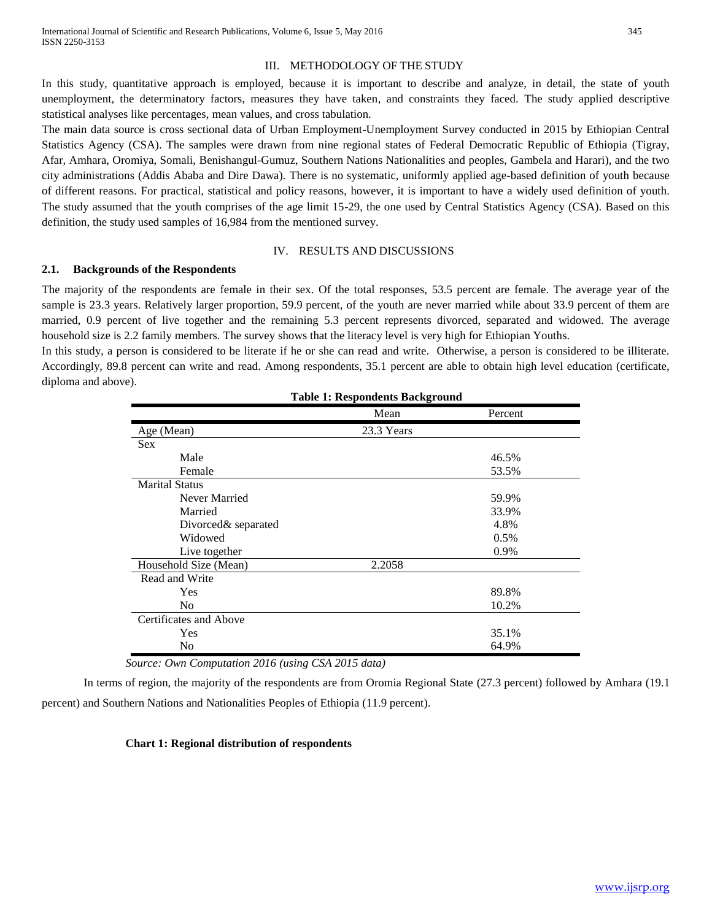## III. METHODOLOGY OF THE STUDY

In this study, quantitative approach is employed, because it is important to describe and analyze, in detail, the state of youth unemployment, the determinatory factors, measures they have taken, and constraints they faced. The study applied descriptive statistical analyses like percentages, mean values, and cross tabulation.

The main data source is cross sectional data of Urban Employment-Unemployment Survey conducted in 2015 by Ethiopian Central Statistics Agency (CSA). The samples were drawn from nine regional states of Federal Democratic Republic of Ethiopia (Tigray, Afar, Amhara, Oromiya, Somali, Benishangul-Gumuz, Southern Nations Nationalities and peoples, Gambela and Harari), and the two city administrations (Addis Ababa and Dire Dawa). There is no systematic, uniformly applied age-based definition of youth because of different reasons. For practical, statistical and policy reasons, however, it is important to have a widely used definition of youth. The study assumed that the youth comprises of the age limit 15-29, the one used by Central Statistics Agency (CSA). Based on this definition, the study used samples of 16,984 from the mentioned survey.

## IV. RESULTS AND DISCUSSIONS

## **2.1. Backgrounds of the Respondents**

The majority of the respondents are female in their sex. Of the total responses, 53.5 percent are female. The average year of the sample is 23.3 years. Relatively larger proportion, 59.9 percent, of the youth are never married while about 33.9 percent of them are married, 0.9 percent of live together and the remaining 5.3 percent represents divorced, separated and widowed. The average household size is 2.2 family members. The survey shows that the literacy level is very high for Ethiopian Youths.

In this study, a person is considered to be literate if he or she can read and write. Otherwise, a person is considered to be illiterate. Accordingly, 89.8 percent can write and read. Among respondents, 35.1 percent are able to obtain high level education (certificate, diploma and above).

|                        | Table 1, Respondents Dataground |         |
|------------------------|---------------------------------|---------|
|                        | Mean                            | Percent |
| Age (Mean)             | 23.3 Years                      |         |
| <b>Sex</b>             |                                 |         |
| Male                   |                                 | 46.5%   |
| Female                 |                                 | 53.5%   |
| <b>Marital Status</b>  |                                 |         |
| Never Married          |                                 | 59.9%   |
| Married                |                                 | 33.9%   |
| Divorced& separated    |                                 | 4.8%    |
| Widowed                |                                 | 0.5%    |
| Live together          |                                 | 0.9%    |
| Household Size (Mean)  | 2.2058                          |         |
| Read and Write         |                                 |         |
| Yes                    |                                 | 89.8%   |
| N <sub>0</sub>         |                                 | 10.2%   |
| Certificates and Above |                                 |         |
| Yes                    |                                 | 35.1%   |
| No                     |                                 | 64.9%   |

**Table 1: Respondents Background**

*Source: Own Computation 2016 (using CSA 2015 data)*

In terms of region, the majority of the respondents are from Oromia Regional State (27.3 percent) followed by Amhara (19.1 percent) and Southern Nations and Nationalities Peoples of Ethiopia (11.9 percent).

# **Chart 1: Regional distribution of respondents**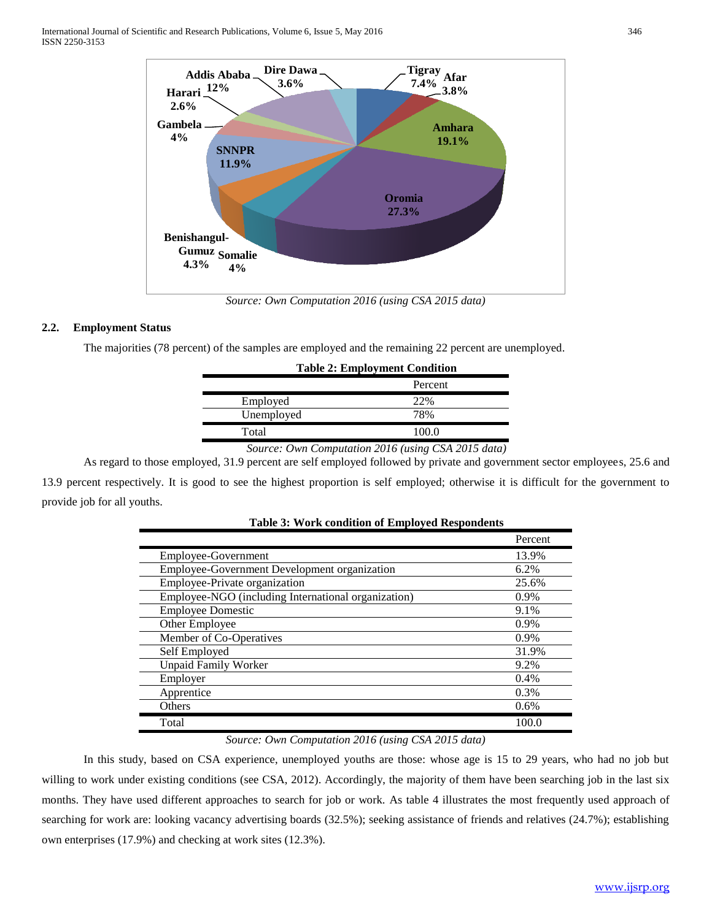

*Source: Own Computation 2016 (using CSA 2015 data)*

## **2.2. Employment Status**

The majorities (78 percent) of the samples are employed and the remaining 22 percent are unemployed.

|            | <b>Table 2: Employment Condition</b> |
|------------|--------------------------------------|
|            | Percent                              |
| Employed   | 22%                                  |
| Unemployed | 78%                                  |
| Total      | 100.0                                |

#### *Source: Own Computation 2016 (using CSA 2015 data)*

As regard to those employed, 31.9 percent are self employed followed by private and government sector employees, 25.6 and 13.9 percent respectively. It is good to see the highest proportion is self employed; otherwise it is difficult for the government to provide job for all youths.

|                                                     | Percent |
|-----------------------------------------------------|---------|
| Employee-Government                                 | 13.9%   |
| Employee-Government Development organization        | 6.2%    |
| Employee-Private organization                       | 25.6%   |
| Employee-NGO (including International organization) | $0.9\%$ |
| <b>Employee Domestic</b>                            | 9.1%    |
| Other Employee                                      | $0.9\%$ |
| Member of Co-Operatives                             | $0.9\%$ |
| Self Employed                                       | 31.9%   |
| <b>Unpaid Family Worker</b>                         | 9.2%    |
| Employer                                            | 0.4%    |
| Apprentice                                          | 0.3%    |
| Others                                              | 0.6%    |
| Total                                               | 100.0   |

| <b>Table 3: Work condition of Employed Respondents</b> |  |
|--------------------------------------------------------|--|
|--------------------------------------------------------|--|

## *Source: Own Computation 2016 (using CSA 2015 data)*

In this study, based on CSA experience, unemployed youths are those: whose age is 15 to 29 years, who had no job but willing to work under existing conditions (see CSA, 2012). Accordingly, the majority of them have been searching job in the last six months. They have used different approaches to search for job or work. As table 4 illustrates the most frequently used approach of searching for work are: looking vacancy advertising boards (32.5%); seeking assistance of friends and relatives (24.7%); establishing own enterprises (17.9%) and checking at work sites (12.3%).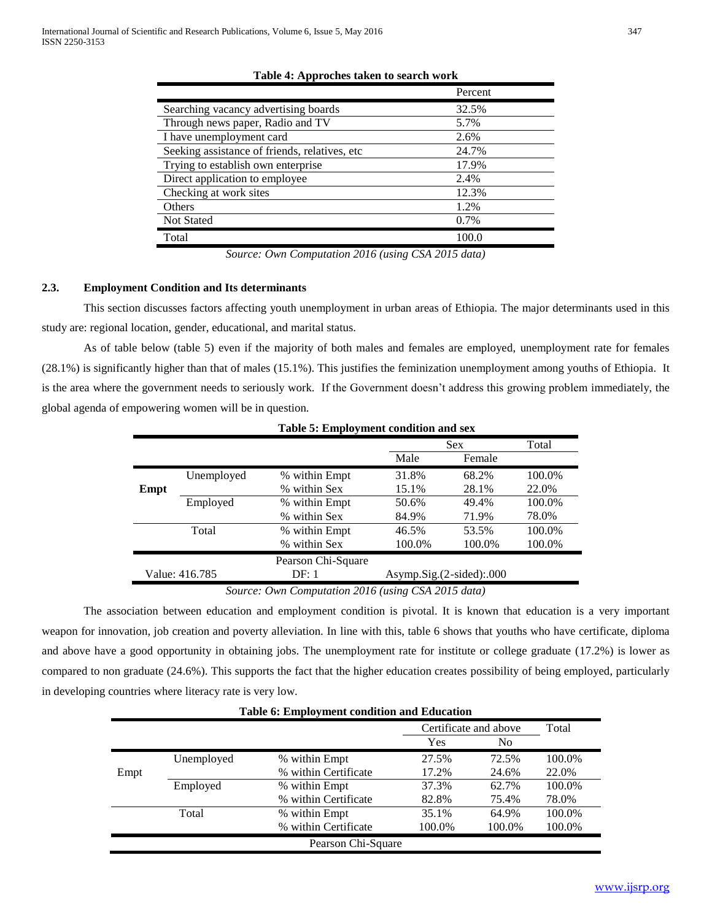|                                               | Percent |
|-----------------------------------------------|---------|
| Searching vacancy advertising boards          | 32.5%   |
| Through news paper, Radio and TV              | 5.7%    |
| I have unemployment card                      | 2.6%    |
| Seeking assistance of friends, relatives, etc | 24.7%   |
| Trying to establish own enterprise            | 17.9%   |
| Direct application to employee                | 2.4%    |
| Checking at work sites                        | 12.3%   |
| Others                                        | 1.2%    |
| <b>Not Stated</b>                             | 0.7%    |
| Total                                         | 100.0   |

#### **Table 4: Approches taken to search work**

*Source: Own Computation 2016 (using CSA 2015 data)*

## **2.3. Employment Condition and Its determinants**

This section discusses factors affecting youth unemployment in urban areas of Ethiopia. The major determinants used in this study are: regional location, gender, educational, and marital status.

As of table below (table 5) even if the majority of both males and females are employed, unemployment rate for females (28.1%) is significantly higher than that of males (15.1%). This justifies the feminization unemployment among youths of Ethiopia. It is the area where the government needs to seriously work. If the Government doesn't address this growing problem immediately, the global agenda of empowering women will be in question.

**Table 5: Employment condition and sex**

| Table 5: Employment condition and sex |                |                    |                             |        |        |  |  |
|---------------------------------------|----------------|--------------------|-----------------------------|--------|--------|--|--|
|                                       |                |                    |                             | Sex    | Total  |  |  |
|                                       |                |                    | Male                        | Female |        |  |  |
|                                       | Unemployed     | % within Empt      | 31.8%                       | 68.2%  | 100.0% |  |  |
| Empt                                  |                | % within Sex       | 15.1%                       | 28.1%  | 22.0%  |  |  |
|                                       | Employed       | % within Empt      | 50.6%                       | 49.4%  | 100.0% |  |  |
|                                       |                | % within Sex       | 84.9%                       | 71.9%  | 78.0%  |  |  |
|                                       | Total          | % within Empt      | 46.5%                       | 53.5%  | 100.0% |  |  |
|                                       |                | % within Sex       | 100.0%                      | 100.0% | 100.0% |  |  |
|                                       |                | Pearson Chi-Square |                             |        |        |  |  |
|                                       | Value: 416.785 | DF: 1              | $Asymp.Sig. (2-sided):.000$ |        |        |  |  |
|                                       |                |                    |                             |        |        |  |  |

*Source: Own Computation 2016 (using CSA 2015 data)*

The association between education and employment condition is pivotal. It is known that education is a very important weapon for innovation, job creation and poverty alleviation. In line with this, table 6 shows that youths who have certificate, diploma and above have a good opportunity in obtaining jobs. The unemployment rate for institute or college graduate (17.2%) is lower as compared to non graduate (24.6%). This supports the fact that the higher education creates possibility of being employed, particularly in developing countries where literacy rate is very low.

|      |            | <b>Table 6: Employment condition and Education</b> |        |                       |        |
|------|------------|----------------------------------------------------|--------|-----------------------|--------|
|      |            |                                                    |        | Certificate and above | Total  |
|      |            |                                                    | Yes    | No.                   |        |
|      | Unemployed | % within Empt                                      | 27.5%  | 72.5%                 | 100.0% |
| Empt |            | % within Certificate                               | 17.2%  | 24.6%                 | 22.0%  |
|      | Employed   | % within Empt                                      | 37.3%  | 62.7%                 | 100.0% |
|      |            | % within Certificate                               | 82.8%  | 75.4%                 | 78.0%  |
|      | Total      | % within Empt                                      | 35.1%  | 64.9%                 | 100.0% |
|      |            | % within Certificate                               | 100.0% | 100.0%                | 100.0% |
|      |            | Pearson Chi-Square                                 |        |                       |        |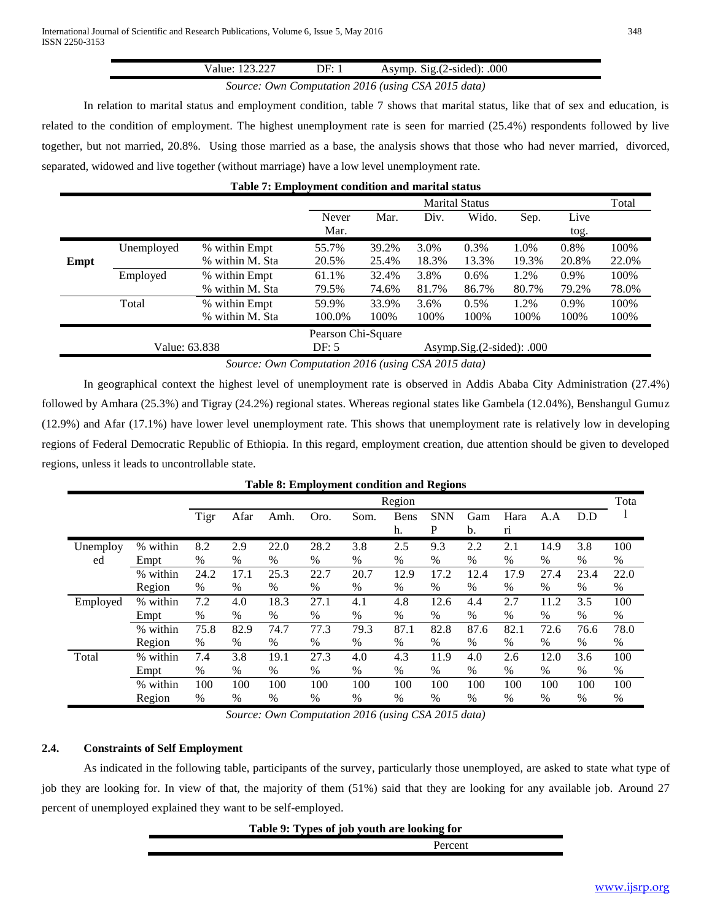| . شاه با | - 1H∙ | .000<br>svmp<br>$\%$ -sideq.<br>Ń1 OT<br>$\cdot$ |  |
|----------|-------|--------------------------------------------------|--|
|          |       |                                                  |  |
|          |       | $C_1, \ldots, C_m, C_1, \ldots, C_m$             |  |

## *Source: Own Computation 2016 (using CSA 2015 data)*

In relation to marital status and employment condition, table 7 shows that marital status, like that of sex and education, is related to the condition of employment. The highest unemployment rate is seen for married (25.4%) respondents followed by live together, but not married, 20.8%. Using those married as a base, the analysis shows that those who had never married, divorced, separated, widowed and live together (without marriage) have a low level unemployment rate.

| Table 7: Employment condition and marital status |               |                 |                    |       |       |                               |       |         |       |
|--------------------------------------------------|---------------|-----------------|--------------------|-------|-------|-------------------------------|-------|---------|-------|
|                                                  |               |                 |                    |       |       | <b>Marital Status</b>         |       |         | Total |
|                                                  |               |                 | Never              | Mar.  | Div.  | Wido.                         | Sep.  | Live    |       |
|                                                  |               |                 | Mar.               |       |       |                               |       | tog.    |       |
|                                                  | Unemployed    | % within Empt   | 55.7%              | 39.2% | 3.0%  | $0.3\%$                       | 1.0%  | $0.8\%$ | 100%  |
| Empt                                             |               | % within M. Sta | 20.5%              | 25.4% | 18.3% | 13.3%                         | 19.3% | 20.8%   | 22.0% |
|                                                  | Employed      | % within Empt   | 61.1%              | 32.4% | 3.8%  | $0.6\%$                       | 1.2%  | $0.9\%$ | 100%  |
|                                                  |               | % within M. Sta | 79.5%              | 74.6% | 81.7% | 86.7%                         | 80.7% | 79.2%   | 78.0% |
|                                                  | Total         | % within Empt   | 59.9%              | 33.9% | 3.6%  | $0.5\%$                       | 1.2%  | 0.9%    | 100%  |
|                                                  |               | % within M. Sta | 100.0%             | 100%  | 100%  | 100%                          | 100%  | 100%    | 100%  |
|                                                  |               |                 | Pearson Chi-Square |       |       |                               |       |         |       |
|                                                  | Value: 63.838 |                 | DF: 5              |       |       | Asymp.Sig. $(2$ -sided): .000 |       |         |       |

*Source: Own Computation 2016 (using CSA 2015 data)*

In geographical context the highest level of unemployment rate is observed in Addis Ababa City Administration (27.4%) followed by Amhara (25.3%) and Tigray (24.2%) regional states. Whereas regional states like Gambela (12.04%), Benshangul Gumuz (12.9%) and Afar (17.1%) have lower level unemployment rate. This shows that unemployment rate is relatively low in developing regions of Federal Democratic Republic of Ethiopia. In this regard, employment creation, due attention should be given to developed regions, unless it leads to uncontrollable state.

|          |          |      |      |               |      | <b>Table 8: Employment condition and Regions</b> |               |                 |               |                        |      |      |      |
|----------|----------|------|------|---------------|------|--------------------------------------------------|---------------|-----------------|---------------|------------------------|------|------|------|
|          |          |      |      |               |      |                                                  | Region        |                 |               |                        |      |      | Tota |
|          |          | Tigr | Afar | Amh.          | Oro. | Som.                                             | Bens<br>h.    | <b>SNN</b><br>P | Gam<br>b.     | Hara<br>r <sub>1</sub> | A.A  | D.D  |      |
| Unemploy | % within | 8.2  | 2.9  | 22.0          | 28.2 | 3.8                                              | 2.5           | 9.3             | 2.2           | 2.1                    | 14.9 | 3.8  | 100  |
| ed       | Empt     | $\%$ | $\%$ | $\%$          | $\%$ | $\%$                                             | $\%$          | $\%$            | $\%$          | $\%$                   | %    | $\%$ | $\%$ |
|          | % within | 24.2 | 17.1 | 25.3          | 22.7 | 20.7                                             | 12.9          | 17.2            | 12.4          | 17.9                   | 27.4 | 23.4 | 22.0 |
|          | Region   | $\%$ | $\%$ | $\%$          | $\%$ | $\%$                                             | $\%$          | $\%$            | $\%$          | $\%$                   | $\%$ | $\%$ | $\%$ |
| Employed | % within | 7.2  | 4.0  | 18.3          | 27.1 | 4.1                                              | 4.8           | 12.6            | 4.4           | 2.7                    | 11.2 | 3.5  | 100  |
|          | Empt     | $\%$ | $\%$ | $\%$          | $\%$ | $\%$                                             | $\%$          | $\%$            | $\%$          | %                      | $\%$ | $\%$ | $\%$ |
|          | % within | 75.8 | 82.9 | 74.7          | 77.3 | 79.3                                             | 87.1          | 82.8            | 87.6          | 82.1                   | 72.6 | 76.6 | 78.0 |
|          | Region   | $\%$ | $\%$ | $\frac{0}{0}$ | %    | $\%$                                             | $\frac{0}{0}$ | $\frac{0}{0}$   | $\frac{0}{0}$ | $\%$                   | $\%$ | $\%$ | %    |
| Total    | % within | 7.4  | 3.8  | 19.1          | 27.3 | 4.0                                              | 4.3           | 11.9            | 4.0           | 2.6                    | 12.0 | 3.6  | 100  |
|          | Empt     | $\%$ | $\%$ | $\%$          | %    | $\%$                                             | $\%$          | $\%$            | $\%$          | $\%$                   | $\%$ | $\%$ | $\%$ |
|          | % within | 100  | 100  | 100           | 100  | 100                                              | 100           | 100             | 100           | 100                    | 100  | 100  | 100  |
|          | Region   | $\%$ | $\%$ | $\%$          | $\%$ | $\%$                                             | $\%$          | $\%$            | $\%$          | $\%$                   | $\%$ | $\%$ | $\%$ |

*Source: Own Computation 2016 (using CSA 2015 data)*

# **2.4. Constraints of Self Employment**

As indicated in the following table, participants of the survey, particularly those unemployed, are asked to state what type of job they are looking for. In view of that, the majority of them (51%) said that they are looking for any available job. Around 27 percent of unemployed explained they want to be self-employed.

# **Table 9: Types of job youth are looking for**

Percent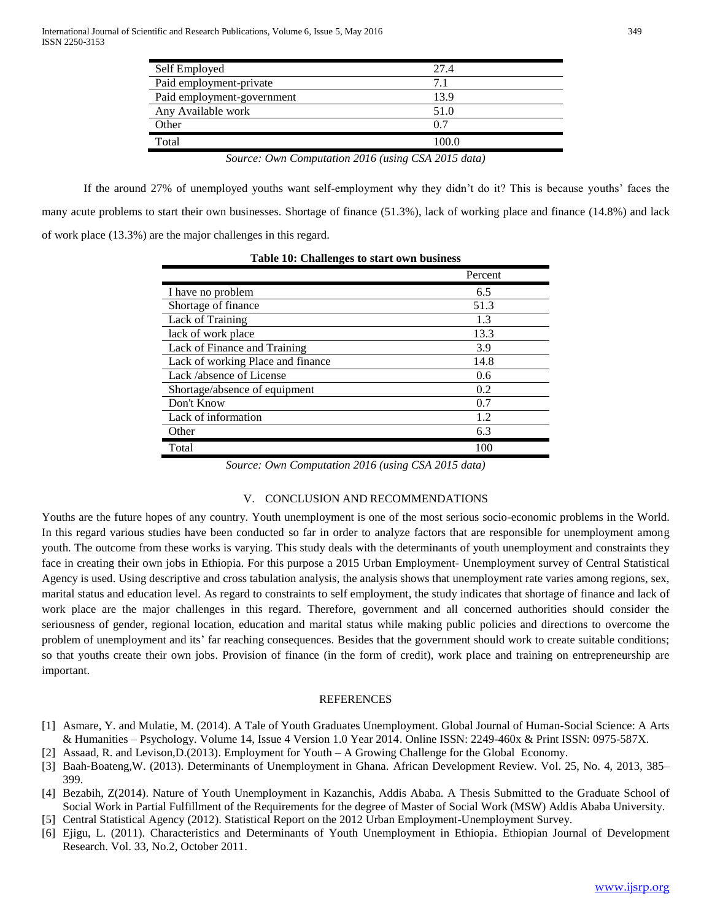| Self Employed                                      | 27.4  |
|----------------------------------------------------|-------|
| Paid employment-private                            | 7.1   |
| Paid employment-government                         | 13.9  |
| Any Available work                                 | 51.0  |
| Other                                              | 0.7   |
| Total                                              | 100.0 |
| Source: Own Computation 2016 (using CSA 2015 data) |       |

If the around 27% of unemployed youths want self-employment why they didn't do it? This is because youths' faces the many acute problems to start their own businesses. Shortage of finance (51.3%), lack of working place and finance (14.8%) and lack of work place (13.3%) are the major challenges in this regard.

|                                   | Percent |
|-----------------------------------|---------|
| I have no problem                 | 6.5     |
| Shortage of finance               | 51.3    |
| Lack of Training                  | 1.3     |
| lack of work place                | 13.3    |
| Lack of Finance and Training      | 3.9     |
| Lack of working Place and finance | 14.8    |
| Lack /absence of License          | 0.6     |
| Shortage/absence of equipment     | 0.2     |
| Don't Know                        | 0.7     |
| Lack of information               | 12      |
| Other                             | 6.3     |
| Total                             |         |

**Table 10: Challenges to start own business**

*Source: Own Computation 2016 (using CSA 2015 data)*

## V. CONCLUSION AND RECOMMENDATIONS

Youths are the future hopes of any country. Youth unemployment is one of the most serious socio-economic problems in the World. In this regard various studies have been conducted so far in order to analyze factors that are responsible for unemployment among youth. The outcome from these works is varying. This study deals with the determinants of youth unemployment and constraints they face in creating their own jobs in Ethiopia. For this purpose a 2015 Urban Employment- Unemployment survey of Central Statistical Agency is used. Using descriptive and cross tabulation analysis, the analysis shows that unemployment rate varies among regions, sex, marital status and education level. As regard to constraints to self employment, the study indicates that shortage of finance and lack of work place are the major challenges in this regard. Therefore, government and all concerned authorities should consider the seriousness of gender, regional location, education and marital status while making public policies and directions to overcome the problem of unemployment and its' far reaching consequences. Besides that the government should work to create suitable conditions; so that youths create their own jobs. Provision of finance (in the form of credit), work place and training on entrepreneurship are important.

## REFERENCES

- [1] Asmare, Y. and Mulatie, M. (2014). A Tale of Youth Graduates Unemployment. Global Journal of Human-Social Science: A Arts & Humanities – Psychology. Volume 14, Issue 4 Version 1.0 Year 2014. Online ISSN: 2249-460x & Print ISSN: 0975-587X.
- [2] Assaad, R. and Levison,D.(2013). Employment for Youth A Growing Challenge for the Global Economy.
- [3] Baah‐Boateng,W. (2013). Determinants of Unemployment in Ghana. African Development Review. Vol. 25, No. 4, 2013, 385– 399.
- [4] Bezabih, Z(2014). Nature of Youth Unemployment in Kazanchis, Addis Ababa. A Thesis Submitted to the Graduate School of Social Work in Partial Fulfillment of the Requirements for the degree of Master of Social Work (MSW) Addis Ababa University. [5] Central Statistical Agency (2012). Statistical Report on the 2012 Urban Employment-Unemployment Survey.
- 
- [6] Ejigu, L. (2011). Characteristics and Determinants of Youth Unemployment in Ethiopia. Ethiopian Journal of Development Research. Vol. 33, No.2, October 2011.